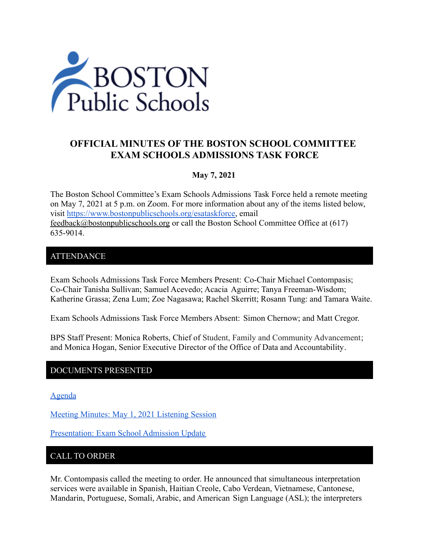

# **OFFICIAL MINUTES OF THE BOSTON SCHOOL COMMITTEE EXAM SCHOOLS ADMISSIONS TASK FORCE**

## **May 7, 2021**

The Boston School Committee's Exam Schools Admissions Task Force held a remote meeting on May 7, 2021 at 5 p.m. on Zoom. For more information about any of the items listed below, visit [https://www.bostonpublicschools.org/esataskforce,](https://www.bostonpublicschools.org/esataskforce) email [feedback@bostonpublicschools.org](mailto:feedback@bostonpublicschools.org) or call the Boston School Committee Office at (617) 635-9014.

### ATTENDANCE

Exam Schools Admissions Task Force Members Present: Co-Chair Michael Contompasis; Co-Chair Tanisha Sullivan; Samuel Acevedo; Acacia Aguirre; Tanya Freeman-Wisdom; Katherine Grassa; Zena Lum; Zoe Nagasawa; Rachel Skerritt; Rosann Tung: and Tamara Waite.

Exam Schools Admissions Task Force Members Absent: Simon Chernow; and Matt Cregor.

BPS Staff Present: Monica Roberts, Chief of Student, Family and Community Advancement; and Monica Hogan, Senior Executive Director of the Office of Data and Accountability.

## DOCUMENTS PRESENTED

[Agenda](https://www.boston.gov/public-notices/15058431)

[Meeting Minutes: May 1, 2021 Listening Session](https://www.bostonpublicschools.org/cms/lib/MA01906464/Centricity/Domain/2931/Minutes%205%201%2021%20Exam%20School%20Admission%20TF%20Student%20Listening%20Session.docx.pdf)

[Presentation: Exam School Admission Update](https://www.bostonpublicschools.org/cms/lib/MA01906464/Centricity/Domain/2931/Exam%20School%20Invitation%20Overview%20for%20Task%20Force%20%205%207%2021.pdf)

### CALL TO ORDER

Mr. Contompasis called the meeting to order. He announced that simultaneous interpretation services were available in Spanish, Haitian Creole, Cabo Verdean, Vietnamese, Cantonese, Mandarin, Portuguese, Somali, Arabic, and American Sign Language (ASL); the interpreters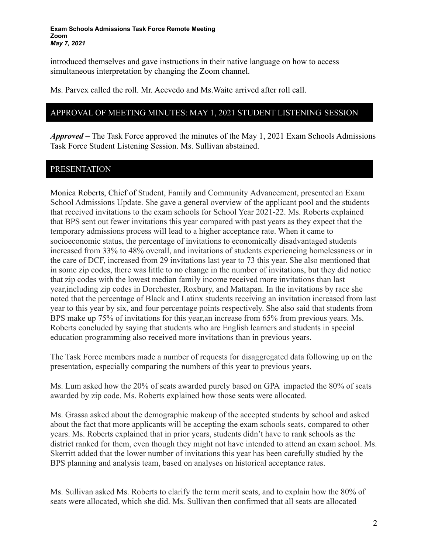#### **Exam Schools Admissions Task Force Remote Meeting Zoom** *May 7, 2021*

introduced themselves and gave instructions in their native language on how to access simultaneous interpretation by changing the Zoom channel.

Ms. Parvex called the roll. Mr. Acevedo and Ms.Waite arrived after roll call.

### APPROVAL OF MEETING MINUTES: MAY 1, 2021 STUDENT LISTENING SESSION

*Approved –* The Task Force approved the minutes of the May 1, 2021 Exam Schools Admissions Task Force Student Listening Session. Ms. Sullivan abstained.

## PRESENTATION

Monica Roberts, Chief of Student, Family and Community Advancement, presented an Exam School Admissions Update. She gave a general overview of the applicant pool and the students that received invitations to the exam schools for School Year 2021-22. Ms. Roberts explained that BPS sent out fewer invitations this year compared with past years as they expect that the temporary admissions process will lead to a higher acceptance rate. When it came to socioeconomic status, the percentage of invitations to economically disadvantaged students increased from 33% to 48% overall, and invitations of students experiencing homelessness or in the care of DCF, increased from 29 invitations last year to 73 this year. She also mentioned that in some zip codes, there was little to no change in the number of invitations, but they did notice that zip codes with the lowest median family income received more invitations than last year,including zip codes in Dorchester, Roxbury, and Mattapan. In the invitations by race she noted that the percentage of Black and Latinx students receiving an invitation increased from last year to this year by six, and four percentage points respectively. She also said that students from BPS make up 75% of invitations for this year,an increase from 65% from previous years. Ms. Roberts concluded by saying that students who are English learners and students in special education programming also received more invitations than in previous years.

The Task Force members made a number of requests for disaggregated data following up on the presentation, especially comparing the numbers of this year to previous years.

Ms. Lum asked how the 20% of seats awarded purely based on GPA impacted the 80% of seats awarded by zip code. Ms. Roberts explained how those seats were allocated.

Ms. Grassa asked about the demographic makeup of the accepted students by school and asked about the fact that more applicants will be accepting the exam schools seats, compared to other years. Ms. Roberts explained that in prior years, students didn't have to rank schools as the district ranked for them, even though they might not have intended to attend an exam school. Ms. Skerritt added that the lower number of invitations this year has been carefully studied by the BPS planning and analysis team, based on analyses on historical acceptance rates.

Ms. Sullivan asked Ms. Roberts to clarify the term merit seats, and to explain how the 80% of seats were allocated, which she did. Ms. Sullivan then confirmed that all seats are allocated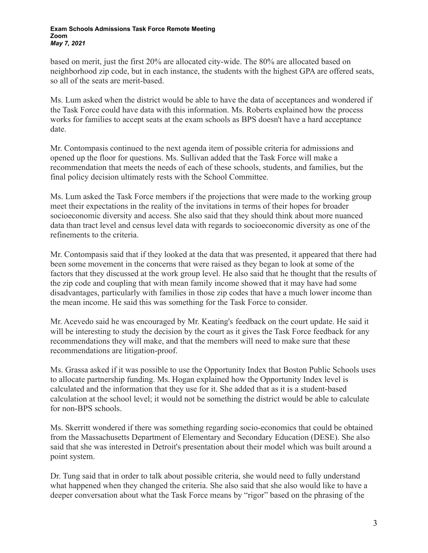#### **Exam Schools Admissions Task Force Remote Meeting Zoom** *May 7, 2021*

based on merit, just the first 20% are allocated city-wide. The 80% are allocated based on neighborhood zip code, but in each instance, the students with the highest GPA are offered seats, so all of the seats are merit-based.

Ms. Lum asked when the district would be able to have the data of acceptances and wondered if the Task Force could have data with this information. Ms. Roberts explained how the process works for families to accept seats at the exam schools as BPS doesn't have a hard acceptance date.

Mr. Contompasis continued to the next agenda item of possible criteria for admissions and opened up the floor for questions. Ms. Sullivan added that the Task Force will make a recommendation that meets the needs of each of these schools, students, and families, but the final policy decision ultimately rests with the School Committee.

Ms. Lum asked the Task Force members if the projections that were made to the working group meet their expectations in the reality of the invitations in terms of their hopes for broader socioeconomic diversity and access. She also said that they should think about more nuanced data than tract level and census level data with regards to socioeconomic diversity as one of the refinements to the criteria.

Mr. Contompasis said that if they looked at the data that was presented, it appeared that there had been some movement in the concerns that were raised as they began to look at some of the factors that they discussed at the work group level. He also said that he thought that the results of the zip code and coupling that with mean family income showed that it may have had some disadvantages, particularly with families in those zip codes that have a much lower income than the mean income. He said this was something for the Task Force to consider.

Mr. Acevedo said he was encouraged by Mr. Keating's feedback on the court update. He said it will be interesting to study the decision by the court as it gives the Task Force feedback for any recommendations they will make, and that the members will need to make sure that these recommendations are litigation-proof.

Ms. Grassa asked if it was possible to use the Opportunity Index that Boston Public Schools uses to allocate partnership funding. Ms. Hogan explained how the Opportunity Index level is calculated and the information that they use for it. She added that as it is a student-based calculation at the school level; it would not be something the district would be able to calculate for non-BPS schools.

Ms. Skerritt wondered if there was something regarding socio-economics that could be obtained from the Massachusetts Department of Elementary and Secondary Education (DESE). She also said that she was interested in Detroit's presentation about their model which was built around a point system.

Dr. Tung said that in order to talk about possible criteria, she would need to fully understand what happened when they changed the criteria. She also said that she also would like to have a deeper conversation about what the Task Force means by "rigor" based on the phrasing of the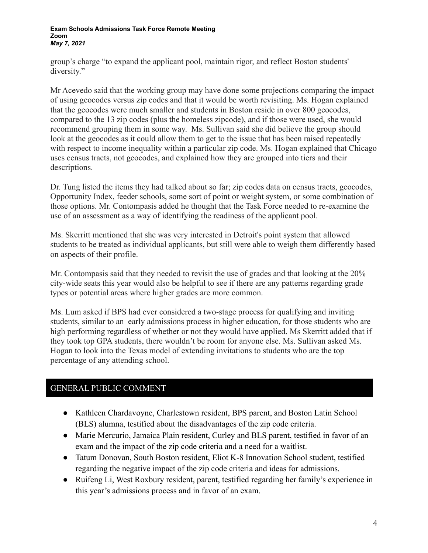#### **Exam Schools Admissions Task Force Remote Meeting Zoom** *May 7, 2021*

group's charge "to expand the applicant pool, maintain rigor, and reflect Boston students' diversity."

Mr Acevedo said that the working group may have done some projections comparing the impact of using geocodes versus zip codes and that it would be worth revisiting. Ms. Hogan explained that the geocodes were much smaller and students in Boston reside in over 800 geocodes, compared to the 13 zip codes (plus the homeless zipcode), and if those were used, she would recommend grouping them in some way. Ms. Sullivan said she did believe the group should look at the geocodes as it could allow them to get to the issue that has been raised repeatedly with respect to income inequality within a particular zip code. Ms. Hogan explained that Chicago uses census tracts, not geocodes, and explained how they are grouped into tiers and their descriptions.

Dr. Tung listed the items they had talked about so far; zip codes data on census tracts, geocodes, Opportunity Index, feeder schools, some sort of point or weight system, or some combination of those options. Mr. Contompasis added he thought that the Task Force needed to re-examine the use of an assessment as a way of identifying the readiness of the applicant pool.

Ms. Skerritt mentioned that she was very interested in Detroit's point system that allowed students to be treated as individual applicants, but still were able to weigh them differently based on aspects of their profile.

Mr. Contompasis said that they needed to revisit the use of grades and that looking at the 20% city-wide seats this year would also be helpful to see if there are any patterns regarding grade types or potential areas where higher grades are more common.

Ms. Lum asked if BPS had ever considered a two-stage process for qualifying and inviting students, similar to an early admissions process in higher education, for those students who are high performing regardless of whether or not they would have applied. Ms Skerritt added that if they took top GPA students, there wouldn't be room for anyone else. Ms. Sullivan asked Ms. Hogan to look into the Texas model of extending invitations to students who are the top percentage of any attending school.

# GENERAL PUBLIC COMMENT

- Kathleen Chardavoyne, Charlestown resident, BPS parent, and Boston Latin School (BLS) alumna, testified about the disadvantages of the zip code criteria.
- Marie Mercurio, Jamaica Plain resident, Curley and BLS parent, testified in favor of an exam and the impact of the zip code criteria and a need for a waitlist.
- Tatum Donovan, South Boston resident, Eliot K-8 Innovation School student, testified regarding the negative impact of the zip code criteria and ideas for admissions.
- Ruifeng Li, West Roxbury resident, parent, testified regarding her family's experience in this year's admissions process and in favor of an exam.